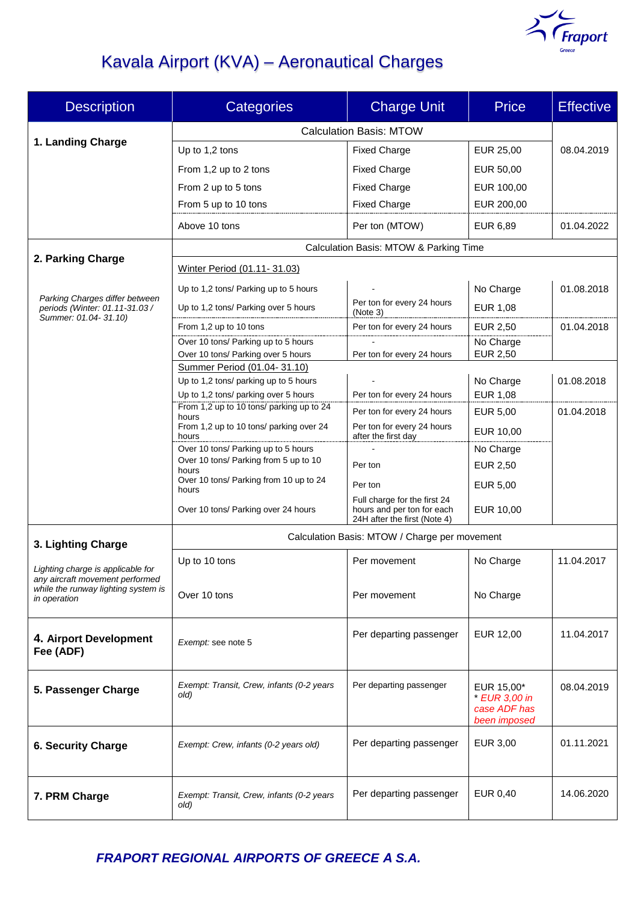

# Kavala Airport (KVA) – Aeronautical Charges

| <b>Description</b>                                                                                          | <b>Categories</b>                                                             | <b>Charge Unit</b>                                                                         | <b>Price</b>                                                | <b>Effective</b> |  |
|-------------------------------------------------------------------------------------------------------------|-------------------------------------------------------------------------------|--------------------------------------------------------------------------------------------|-------------------------------------------------------------|------------------|--|
|                                                                                                             | <b>Calculation Basis: MTOW</b>                                                |                                                                                            |                                                             |                  |  |
| 1. Landing Charge                                                                                           | Up to 1,2 tons                                                                | <b>Fixed Charge</b>                                                                        | EUR 25,00                                                   | 08.04.2019       |  |
|                                                                                                             | From 1,2 up to 2 tons                                                         | <b>Fixed Charge</b>                                                                        | EUR 50,00                                                   |                  |  |
|                                                                                                             | From 2 up to 5 tons                                                           | <b>Fixed Charge</b>                                                                        | EUR 100,00                                                  |                  |  |
|                                                                                                             | From 5 up to 10 tons                                                          | <b>Fixed Charge</b>                                                                        | EUR 200,00                                                  |                  |  |
|                                                                                                             | Above 10 tons                                                                 | Per ton (MTOW)                                                                             | EUR 6,89                                                    | 01.04.2022       |  |
|                                                                                                             |                                                                               |                                                                                            |                                                             |                  |  |
| 2. Parking Charge                                                                                           | Calculation Basis: MTOW & Parking Time                                        |                                                                                            |                                                             |                  |  |
|                                                                                                             | Winter Period (01.11-31.03)                                                   |                                                                                            |                                                             |                  |  |
|                                                                                                             | Up to 1,2 tons/ Parking up to 5 hours                                         |                                                                                            | No Charge                                                   | 01.08.2018       |  |
| Parking Charges differ between<br>periods (Winter: 01.11-31.03 /                                            | Up to 1,2 tons/ Parking over 5 hours                                          | Per ton for every 24 hours<br>(Note 3)                                                     | <b>EUR 1,08</b>                                             |                  |  |
| Summer: 01.04-31.10)                                                                                        | From 1,2 up to 10 tons                                                        | Per ton for every 24 hours                                                                 | EUR 2,50                                                    | 01.04.2018       |  |
|                                                                                                             | Over 10 tons/ Parking up to 5 hours                                           |                                                                                            | No Charge                                                   |                  |  |
|                                                                                                             | Over 10 tons/ Parking over 5 hours                                            | Per ton for every 24 hours                                                                 | <b>EUR 2,50</b>                                             |                  |  |
|                                                                                                             | Summer Period (01.04-31.10)                                                   |                                                                                            |                                                             |                  |  |
|                                                                                                             | Up to 1,2 tons/ parking up to 5 hours<br>Up to 1,2 tons/ parking over 5 hours | Per ton for every 24 hours                                                                 | No Charge<br>EUR 1,08                                       | 01.08.2018       |  |
|                                                                                                             | From 1,2 up to 10 tons/ parking up to 24                                      | Per ton for every 24 hours                                                                 | EUR 5,00                                                    | 01.04.2018       |  |
|                                                                                                             | hours<br>From 1,2 up to 10 tons/ parking over 24                              | Per ton for every 24 hours                                                                 |                                                             |                  |  |
|                                                                                                             | hours                                                                         | after the first day                                                                        | EUR 10,00                                                   |                  |  |
|                                                                                                             | Over 10 tons/ Parking up to 5 hours                                           |                                                                                            | No Charge                                                   |                  |  |
|                                                                                                             | Over 10 tons/ Parking from 5 up to 10<br>hours                                | Per ton                                                                                    | <b>EUR 2,50</b>                                             |                  |  |
|                                                                                                             | Over 10 tons/ Parking from 10 up to 24<br>hours                               | Per ton                                                                                    | EUR 5,00                                                    |                  |  |
|                                                                                                             | Over 10 tons/ Parking over 24 hours                                           | Full charge for the first 24<br>hours and per ton for each<br>24H after the first (Note 4) | EUR 10,00                                                   |                  |  |
|                                                                                                             | Calculation Basis: MTOW / Charge per movement                                 |                                                                                            |                                                             |                  |  |
| 3. Lighting Charge                                                                                          |                                                                               |                                                                                            |                                                             |                  |  |
| Lighting charge is applicable for<br>any aircraft movement performed<br>while the runway lighting system is | Up to 10 tons                                                                 | Per movement                                                                               | No Charge                                                   | 11.04.2017       |  |
|                                                                                                             | Over 10 tons                                                                  | Per movement                                                                               | No Charge                                                   |                  |  |
| in operation                                                                                                |                                                                               |                                                                                            |                                                             |                  |  |
| 4. Airport Development<br>Fee (ADF)                                                                         | Exempt: see note 5                                                            | Per departing passenger                                                                    | <b>EUR 12,00</b>                                            | 11.04.2017       |  |
| 5. Passenger Charge                                                                                         | Exempt: Transit, Crew, infants (0-2 years<br>old)                             | Per departing passenger                                                                    | EUR 15,00*<br>* EUR 3,00 in<br>case ADF has<br>been imposed | 08.04.2019       |  |
| <b>6. Security Charge</b>                                                                                   | Exempt: Crew, infants (0-2 years old)                                         | Per departing passenger                                                                    | EUR 3,00                                                    | 01.11.2021       |  |
| 7. PRM Charge                                                                                               | Exempt: Transit, Crew, infants (0-2 years<br>old)                             | Per departing passenger                                                                    | EUR 0,40                                                    | 14.06.2020       |  |

*FRAPORT REGIONAL AIRPORTS OF GREECE Α S.A.*